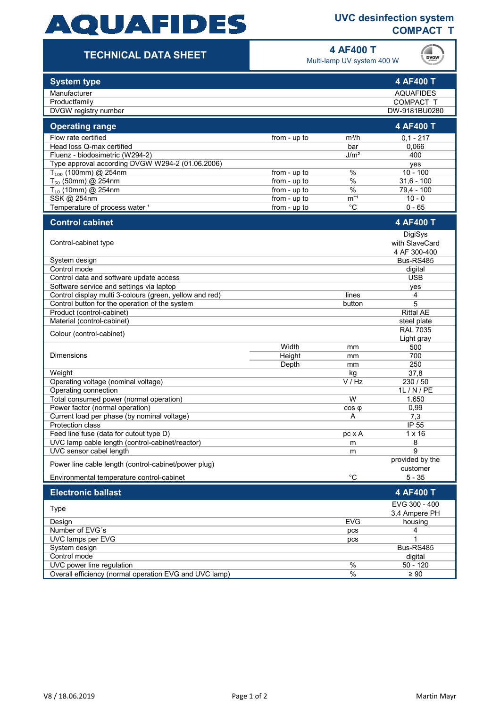# **AQUAFIDES**

### **UVC desinfection system COMPACT T**

### **TECHNICAL DATA SHEET**

**4 AF400 T**

Multi-lamp UV system 400 W



| <b>System type</b>                                      |                |                  | 4 AF400 T             |
|---------------------------------------------------------|----------------|------------------|-----------------------|
| Manufacturer                                            |                |                  | <b>AQUAFIDES</b>      |
| Productfamily                                           |                |                  | COMPACT T             |
| DVGW registry number                                    |                |                  | DW-9181BU0280         |
| <b>Operating range</b>                                  |                |                  | 4 AF400 T             |
| Flow rate certified                                     | from - up to   | $m^3/h$          | $0,1 - 217$           |
| Head loss Q-max certified                               |                | bar              | 0,066                 |
| Fluenz - biodosimetric (W294-2)                         |                | J/m <sup>2</sup> | 400                   |
| Type approval according DVGW W294-2 (01.06.2006)        |                |                  | yes                   |
| $T_{100}$ (100mm) @ 254nm                               | from - $up$ to | $\%$             | $10 - 100$            |
| $T_{50}$ (50mm) @ 254nm                                 | from - up to   | $\%$             | $31,6 - 100$          |
| $T_{10}$ (10mm) @ 254nm                                 | from - up to   | $\%$             | 79,4 - 100            |
| SSK @ 254nm                                             | from - up to   | $m^{-1}$<br>°C   | $10 - 0$              |
| Temperature of process water 1                          | from - up to   |                  | $0 - 65$              |
| <b>Control cabinet</b>                                  |                |                  | 4 AF400 T             |
|                                                         |                |                  | DigiSys               |
| Control-cabinet type                                    |                |                  | with SlaveCard        |
|                                                         |                |                  | 4 AF 300-400          |
| System design<br>Control mode                           |                |                  | Bus-RS485             |
| Control data and software update access                 |                |                  | digital<br><b>USB</b> |
| Software service and settings via laptop                |                |                  | yes                   |
| Control display multi 3-colours (green, yellow and red) |                | lines            | 4                     |
| Control button for the operation of the system          |                | button           | 5                     |
| Product (control-cabinet)                               |                |                  | <b>Rittal AE</b>      |
| Material (control-cabinet)                              |                |                  | steel plate           |
|                                                         |                |                  | <b>RAL 7035</b>       |
| Colour (control-cabinet)                                |                |                  | Light gray            |
|                                                         | Width          | mm               | 500                   |
| <b>Dimensions</b>                                       | Height         | mm               | 700                   |
|                                                         | Depth          | mm               | 250                   |
| Weight                                                  |                | kg               | 37,8                  |
| Operating voltage (nominal voltage)                     |                | V / Hz           | 230 / 50              |
| Operating connection                                    |                |                  | 1L / N / PE           |
| Total consumed power (normal operation)                 |                | W                | 1.650                 |
| Power factor (normal operation)                         |                | $cos \phi$       | 0,99                  |
| Current load per phase (by nominal voltage)             |                | Α                | 7,3                   |
| <b>Protection class</b>                                 |                |                  | IP 55                 |
| Feed line fuse (data for cutout type D)                 |                | pc x A           | $1 \times 16$         |
| UVC lamp cable length (control-cabinet/reactor)         |                | m                | 8                     |
| UVC sensor cabel length                                 |                | m                | 9<br>provided by the  |
| Power line cable length (control-cabinet/power plug)    |                |                  | customer              |
| Environmental temperature control-cabinet               |                | $\overline{C}$   | $5 - 35$              |
| <b>Electronic ballast</b>                               |                |                  | 4 AF400 T             |
| <b>Type</b>                                             |                |                  | EVG 300 - 400         |
|                                                         |                |                  | 3.4 Ampere PH         |
| Design                                                  |                | <b>EVG</b>       | housing               |
| Number of EVG's                                         |                | pcs              | 4                     |
| UVC lamps per EVG                                       |                | pcs              | 1                     |
| System design                                           |                |                  | Bus-RS485             |
| Control mode                                            |                | $\frac{0}{6}$    | digital               |
| UVC power line regulation                               |                |                  | $50 - 120$            |
| Overall efficiency (normal operation EVG and UVC lamp)  |                | $\%$             | $\geq 90$             |